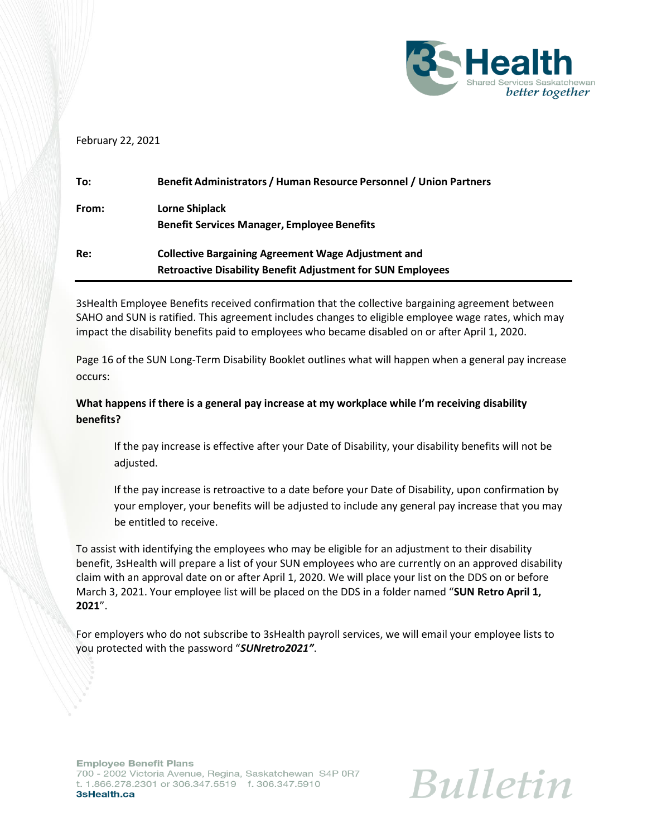

## February 22, 2021

| To:   | Benefit Administrators / Human Resource Personnel / Union Partners |
|-------|--------------------------------------------------------------------|
| From: | <b>Lorne Shiplack</b>                                              |
|       | <b>Benefit Services Manager, Employee Benefits</b>                 |
| Re:   | <b>Collective Bargaining Agreement Wage Adjustment and</b>         |
|       | <b>Retroactive Disability Benefit Adjustment for SUN Employees</b> |

3sHealth Employee Benefits received confirmation that the collective bargaining agreement between SAHO and SUN is ratified. This agreement includes changes to eligible employee wage rates, which may impact the disability benefits paid to employees who became disabled on or after April 1, 2020.

Page 16 of the SUN Long-Term Disability Booklet outlines what will happen when a general pay increase occurs:

## **What happens if there is a general pay increase at my workplace while I'm receiving disability benefits?**

If the pay increase is effective after your Date of Disability, your disability benefits will not be adjusted.

If the pay increase is retroactive to a date before your Date of Disability, upon confirmation by your employer, your benefits will be adjusted to include any general pay increase that you may be entitled to receive.

To assist with identifying the employees who may be eligible for an adjustment to their disability benefit, 3sHealth will prepare a list of your SUN employees who are currently on an approved disability claim with an approval date on or after April 1, 2020. We will place your list on the DDS on or before March 3, 2021. Your employee list will be placed on the DDS in a folder named "**SUN Retro April 1, 2021**".

For employers who do not subscribe to 3sHealth payroll services, we will email your employee lists to you protected with the password "*SUNretro2021"*.